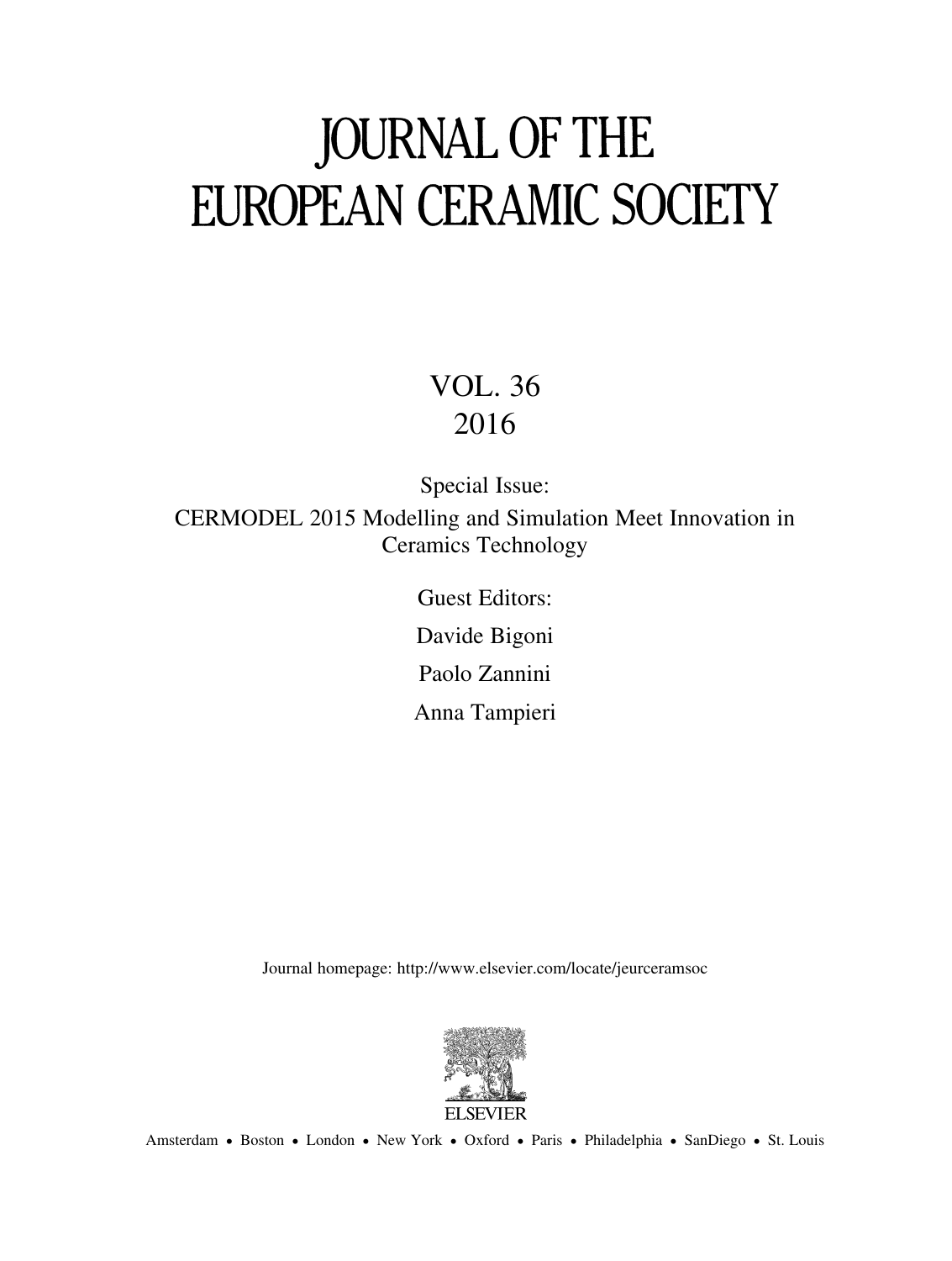# **JOURNAL OF THE FUROPEAN CERAMIC SOCIETY**

## VOL . 36 2016

Special Issue: CERMODEL 2015 Modelling and Simulation Meet Innovation in Ceramics Technology

> Guest Editors: Davide Bigoni Paolo Zannini

Anna Tampieri

Journal homepage: http://www.elsevier.com/locate/jeurceramsoc



Amsterdam • Boston • London • New York • Oxford • Paris • Philadelphia • SanDiego • St. Louis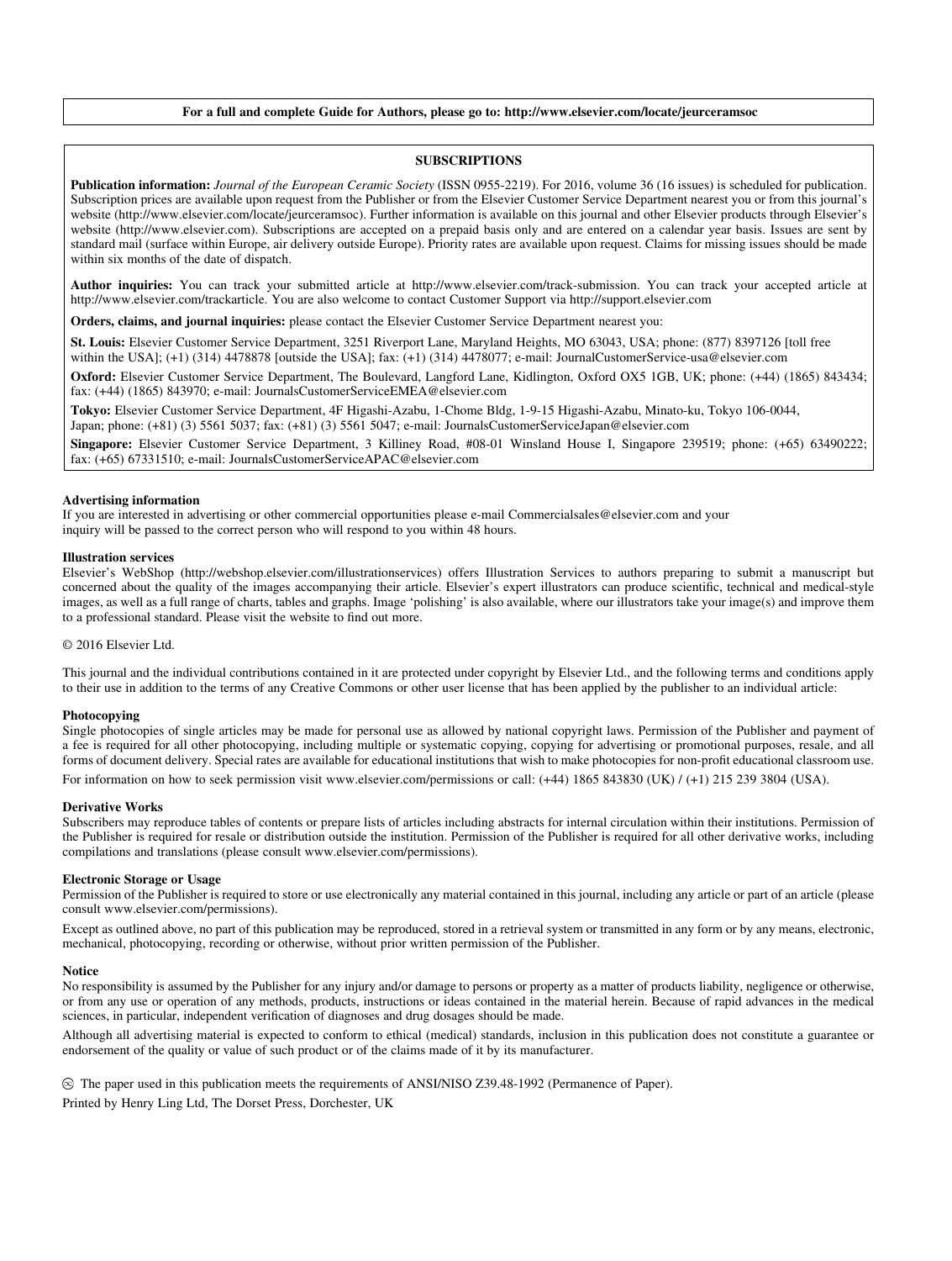#### **For a full and complete Guide for Authors, please go to: http://www.elsevier.com/locate/jeurceramsoc**

#### **SUBSCRIPTIONS**

**Publication information:** *Journal of the European Ceramic Society* (ISSN 0955-2219). For 2016, volume 36 (16 issues) is scheduled for publication. Subscription prices are available upon request from the Publisher or from the Elsevier Customer Service Department nearest you or from this journal's website (http://www.elsevier.com/locate/jeurceramsoc). Further information is available on this journal and other Elsevier products through Elsevier's website (http://www.elsevier.com). Subscriptions are accepted on a prepaid basis only and are entered on a calendar year basis. Issues are sent by standard mail (surface within Europe, air delivery outside Europe). Priority rates are available upon request. Claims for missing issues should be made within six months of the date of dispatch.

**Author inquiries:** You can track your submitted article at http://www.elsevier.com/track-submission. You can track your accepted article at http://www.elsevier.com/trackarticle. You are also welcome to contact Customer Support via http://support.elsevier.com

**Orders, claims, and journal inquiries:** please contact the Elsevier Customer Service Department nearest you:

**St. Louis:** Elsevier Customer Service Department, 3251 Riverport Lane, Maryland Heights, MO 63043, USA; phone: (877) 8397126 [toll free within the USA]; (+1) (314) 4478878 [outside the USA]; fax: (+1) (314) 4478077; e-mail: JournalCustomerService-usa@elsevier.com

**Oxford:** Elsevier Customer Service Department, The Boulevard, Langford Lane, Kidlington, Oxford OX5 1GB, UK; phone: (+44) (1865) 843434; fax: (+44) (1865) 843970; e-mail: JournalsCustomerServiceEMEA@elsevier.com

**Tokyo:** Elsevier Customer Service Department, 4F Higashi-Azabu, 1-Chome Bldg, 1-9-15 Higashi-Azabu, Minato-ku, Tokyo 106-0044, Japan; phone: (+81) (3) 5561 5037; fax: (+81) (3) 5561 5047; e-mail: JournalsCustomerServiceJapan@elsevier.com

**Singapore:** Elsevier Customer Service Department, 3 Killiney Road, #08-01 Winsland House I, Singapore 239519; phone: (+65) 63490222; fax: (+65) 67331510; e-mail: JournalsCustomerServiceAPAC@elsevier.com

#### **Advertising information**

If you are interested in advertising or other commercial opportunities please e-mail Commercialsales@elsevier.com and your inquiry will be passed to the correct person who will respond to you within 48 hours.

#### **Illustration services**

Elsevier's WebShop (http://webshop.elsevier.com/illustrationservices) offers Illustration Services to authors preparing to submit a manuscript but concerned about the quality of the images accompanying their article. Elsevier's expert illustrators can produce scientific, technical and medical-style images, as well as a full range of charts, tables and graphs. Image 'polishing' is also available, where our illustrators take your image(s) and improve them to a professional standard. Please visit the website to find out more.

#### © 2016 Elsevier Ltd.

This journal and the individual contributions contained in it are protected under copyright by Elsevier Ltd., and the following terms and conditions apply to their use in addition to the terms of any Creative Commons or other user license that has been applied by the publisher to an individual article:

#### **Photocopying**

Single photocopies of single articles may be made for personal use as allowed by national copyright laws. Permission of the Publisher and payment of a fee is required for all other photocopying, including multiple or systematic copying, copying for advertising or promotional purposes, resale, and all forms of document delivery. Special rates are available for educational institutions that wish to make photocopies for non-profi t educational classroom use.

For information on how to seek permission visit www.elsevier.com/permissions or call: (+44) 1865 843830 (UK) / (+1) 215 239 3804 (USA).

#### **Derivative Works**

Subscribers may reproduce tables of contents or prepare lists of articles including abstracts for internal circulation within their institutions. Permission of the Publisher is required for resale or distribution outside the institution. Permission of the Publisher is required for all other derivative works, including compilations and translations (please consult www.elsevier.com/permissions).

#### **Electronic Storage or Usage**

Permission of the Publisher is required to store or use electronically any material contained in this journal, including any article or part of an article (please consult www.elsevier.com/permissions).

Except as outlined above, no part of this publication may be reproduced, stored in a retrieval system or transmitted in any form or by any means, electronic, mechanical, photocopying, recording or otherwise, without prior written permission of the Publisher.

#### **Notice**

No responsibility is assumed by the Publisher for any injury and/or damage to persons or property as a matter of products liability, negligence or otherwise, or from any use or operation of any methods, products, instructions or ideas contained in the material herein. Because of rapid advances in the medical sciences, in particular, independent verification of diagnoses and drug dosages should be made.

Although all advertising material is expected to conform to ethical (medical) standards, inclusion in this publication does not constitute a guarantee or endorsement of the quality or value of such product or of the claims made of it by its manufacturer.

The paper used in this publication meets the requirements of ANSI/NISO Z39.48-1992 (Permanence of Paper). Printed by Henry Ling Ltd, The Dorset Press, Dorchester, UK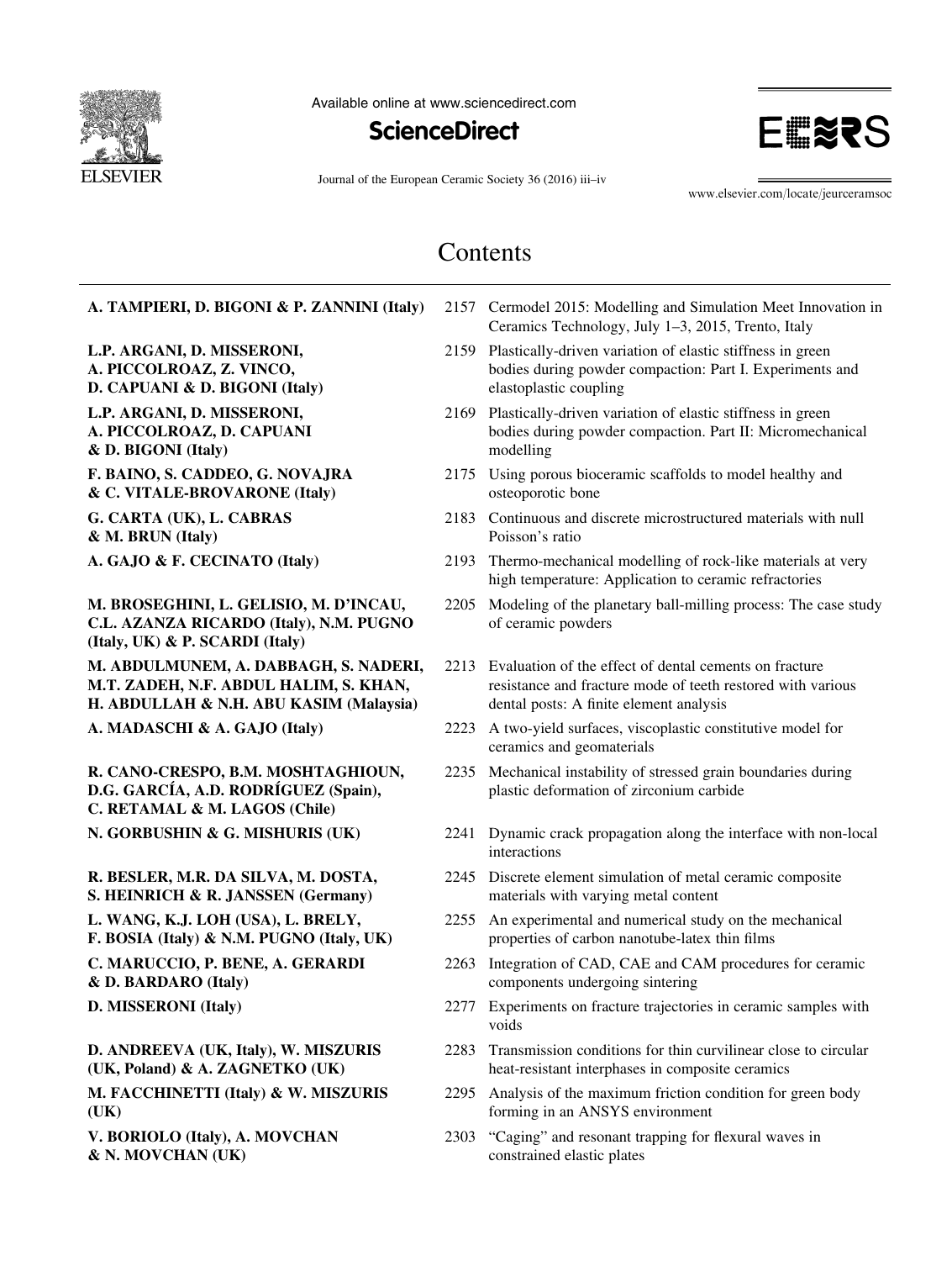

Available online at www.sciencedirect.com





Journal of the European Ceramic Society 36 (2016) iii–iv

www.elsevier.com/locate/jeurceramsoc

### Contents

| A. TAMPIERI, D. BIGONI & P. ZANNINI (Italy)                                                                                |      | 2157 Cermodel 2015: Modelling and Simulation Meet Innovation in<br>Ceramics Technology, July 1-3, 2015, Trento, Italy                                            |
|----------------------------------------------------------------------------------------------------------------------------|------|------------------------------------------------------------------------------------------------------------------------------------------------------------------|
| L.P. ARGANI, D. MISSERONI,<br>A. PICCOLROAZ, Z. VINCO,<br>D. CAPUANI & D. BIGONI (Italy)                                   |      | 2159 Plastically-driven variation of elastic stiffness in green<br>bodies during powder compaction: Part I. Experiments and<br>elastoplastic coupling            |
| L.P. ARGANI, D. MISSERONI,<br>A. PICCOLROAZ, D. CAPUANI<br>& D. BIGONI (Italy)                                             | 2169 | Plastically-driven variation of elastic stiffness in green<br>bodies during powder compaction. Part II: Micromechanical<br>modelling                             |
| F. BAINO, S. CADDEO, G. NOVAJRA<br>& C. VITALE-BROVARONE (Italy)                                                           |      | 2175 Using porous bioceramic scaffolds to model healthy and<br>osteoporotic bone                                                                                 |
| G. CARTA (UK), L. CABRAS<br>& M. BRUN (Italy)                                                                              | 2183 | Continuous and discrete microstructured materials with null<br>Poisson's ratio                                                                                   |
| A. GAJO & F. CECINATO (Italy)                                                                                              | 2193 | Thermo-mechanical modelling of rock-like materials at very<br>high temperature: Application to ceramic refractories                                              |
| M. BROSEGHINI, L. GELISIO, M. D'INCAU,<br>C.L. AZANZA RICARDO (Italy), N.M. PUGNO<br>(Italy, UK) & P. SCARDI (Italy)       | 2205 | Modeling of the planetary ball-milling process: The case study<br>of ceramic powders                                                                             |
| M. ABDULMUNEM, A. DABBAGH, S. NADERI,<br>M.T. ZADEH, N.F. ABDUL HALIM, S. KHAN,<br>H. ABDULLAH & N.H. ABU KASIM (Malaysia) | 2213 | Evaluation of the effect of dental cements on fracture<br>resistance and fracture mode of teeth restored with various<br>dental posts: A finite element analysis |
| A. MADASCHI & A. GAJO (Italy)                                                                                              | 2223 | A two-yield surfaces, viscoplastic constitutive model for<br>ceramics and geomaterials                                                                           |
| R. CANO-CRESPO, B.M. MOSHTAGHIOUN,<br>D.G. GARCÍA, A.D. RODRÍGUEZ (Spain),<br>C. RETAMAL & M. LAGOS (Chile)                | 2235 | Mechanical instability of stressed grain boundaries during<br>plastic deformation of zirconium carbide                                                           |
| N. GORBUSHIN & G. MISHURIS (UK)                                                                                            | 2241 | Dynamic crack propagation along the interface with non-local<br>interactions                                                                                     |
| R. BESLER, M.R. DA SILVA, M. DOSTA,<br>S. HEINRICH & R. JANSSEN (Germany)                                                  | 2245 | Discrete element simulation of metal ceramic composite<br>materials with varying metal content                                                                   |
| L. WANG, K.J. LOH (USA), L. BRELY,<br>F. BOSIA (Italy) & N.M. PUGNO (Italy, UK)                                            | 2255 | An experimental and numerical study on the mechanical<br>properties of carbon nanotube-latex thin films                                                          |
| C. MARUCCIO, P. BENE, A. GERARDI<br>& D. BARDARO (Italy)                                                                   | 2263 | Integration of CAD, CAE and CAM procedures for ceramic<br>components undergoing sintering                                                                        |
| D. MISSERONI (Italy)                                                                                                       |      | 2277 Experiments on fracture trajectories in ceramic samples with<br>voids                                                                                       |
| D. ANDREEVA (UK, Italy), W. MISZURIS<br>(UK, Poland) & A. ZAGNETKO (UK)                                                    | 2283 | Transmission conditions for thin curvilinear close to circular<br>heat-resistant interphases in composite ceramics                                               |
| M. FACCHINETTI (Italy) & W. MISZURIS<br>(UK)                                                                               | 2295 | Analysis of the maximum friction condition for green body<br>forming in an ANSYS environment                                                                     |
| V. BORIOLO (Italy), A. MOVCHAN<br>& N. MOVCHAN (UK)                                                                        | 2303 | "Caging" and resonant trapping for flexural waves in<br>constrained elastic plates                                                                               |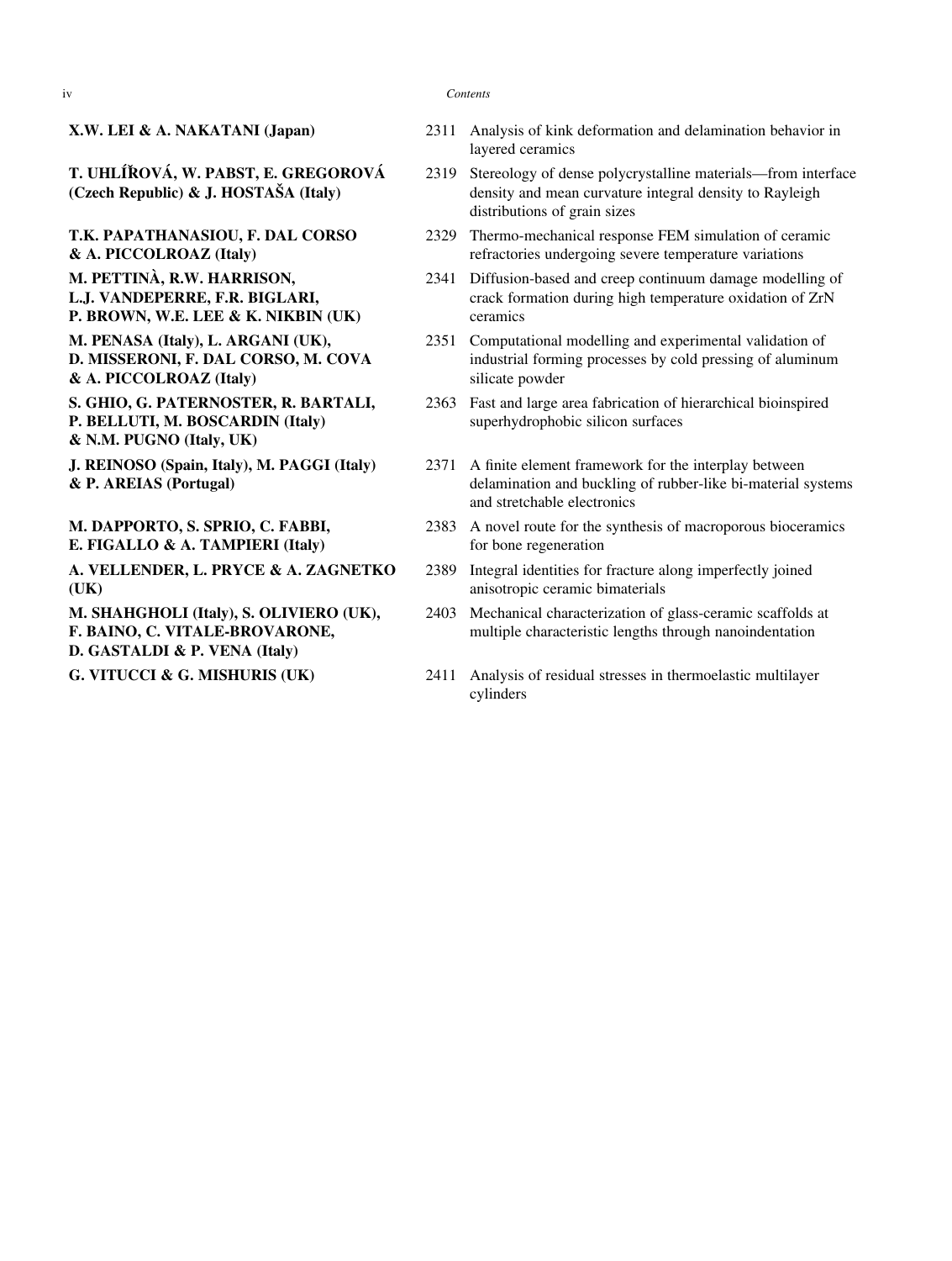**T. UHLÍŘOVÁ, W. PABST, E. GREGOROVÁ (Czech Republic) & J. HOSTAŠA (Italy)**

**T.K. PAPATHANASIOU, F. DAL CORSO & A. PICCOLROAZ (Italy)**

- **M. PETTINÀ, R.W. HARRISON, L.J. VANDEPERRE, F.R. BIGLARI, P. BROWN, W.E. LEE & K. NIKBIN (UK)**
- **M. PENASA (Italy), L. ARGANI (UK), D. MISSERONI, F. DAL CORSO, M. COVA & A. PICCOLROAZ (Italy)**

**S. GHIO, G. PATERNOSTER, R. BARTALI, P. BELLUTI, M. BOSCARDIN (Italy) & N.M. PUGNO (Italy, UK)**

**J. REINOSO (Spain, Italy), M. PAGGI (Italy) & P. AREIAS (Portugal)**

**M. DAPPORTO, S. SPRIO, C. FABBI, E. FIGALLO & A. TAMPIERI (Italy)**

**A. VELLENDER, L. PRYCE & A. ZAGNETKO (UK)**

**M. SHAHGHOLI (Italy), S. OLIVIERO (UK), F. BAINO, C. VITALE-BROVARONE, D. GASTALDI & P. VENA (Italy)**

#### iv *Contents*

- **X.W. LEI & A. NAKATANI (Japan)** 2311 Analysis of kink deformation and delamination behavior in layered ceramics
	- 2319 Stereology of dense polycrystalline materials—from interface density and mean curvature integral density to Rayleigh distributions of grain sizes
	- 2329 Thermo-mechanical response FEM simulation of ceramic refractories undergoing severe temperature variations
	- 2341 Diffusion-based and creep continuum damage modelling of crack formation during high temperature oxidation of ZrN ceramics
	- 2351 Computational modelling and experimental validation of industrial forming processes by cold pressing of aluminum silicate powder
	- 2363 Fast and large area fabrication of hierarchical bioinspired superhydrophobic silicon surfaces
	- 2371 A finite element framework for the interplay between delamination and buckling of rubber-like bi-material systems and stretchable electronics
	- 2383 A novel route for the synthesis of macroporous bioceramics for bone regeneration
	- 2389 Integral identities for fracture along imperfectly joined anisotropic ceramic bimaterials
	- 2403 Mechanical characterization of glass-ceramic scaffolds at multiple characteristic lengths through nanoindentation
- **G. VITUCCI & G. MISHURIS (UK)** 2411 Analysis of residual stresses in thermoelastic multilayer cylinders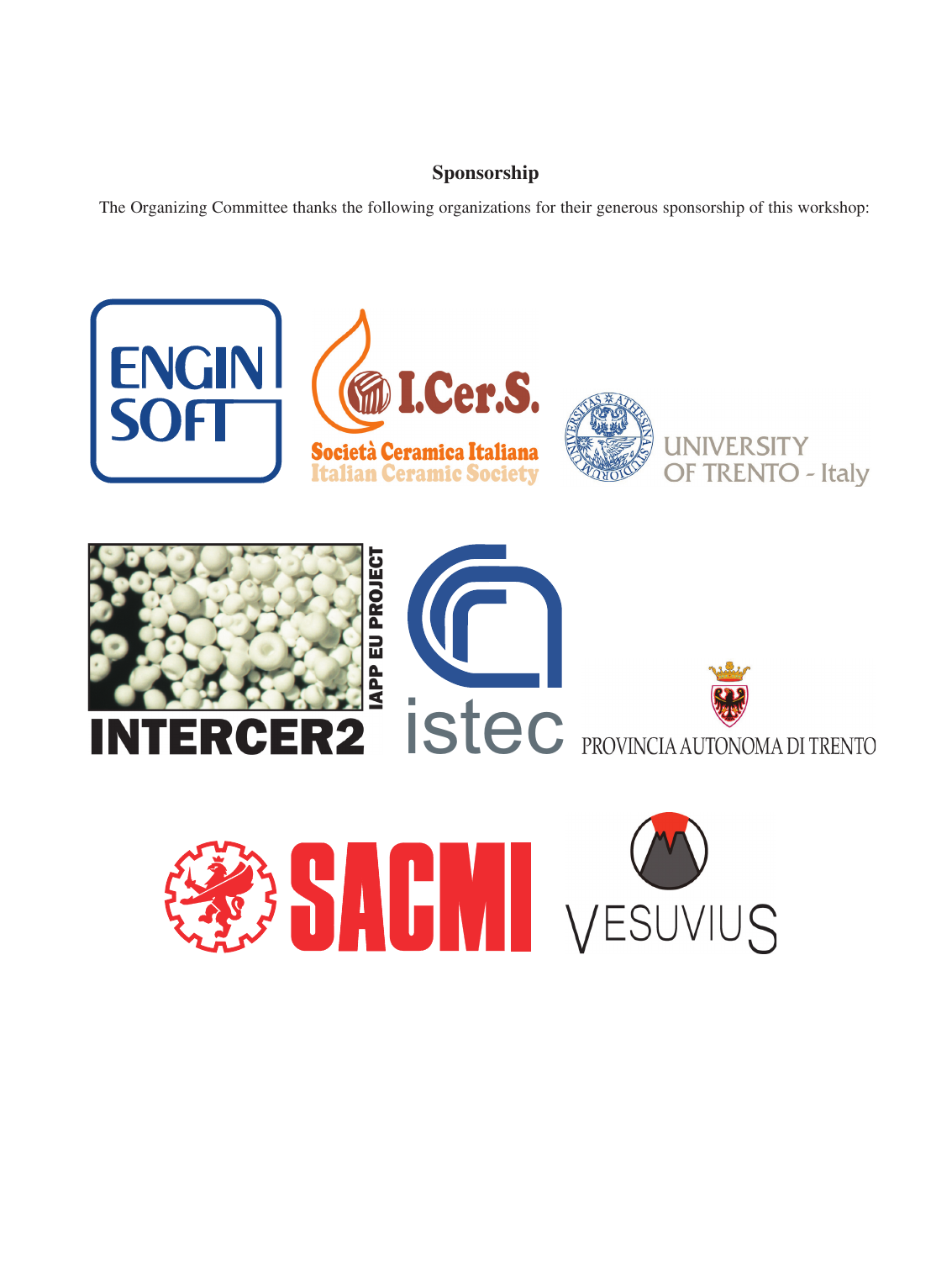### **Sponsorship**

The Organizing Committee thanks the following organizations for their generous sponsorship of this workshop:



J.